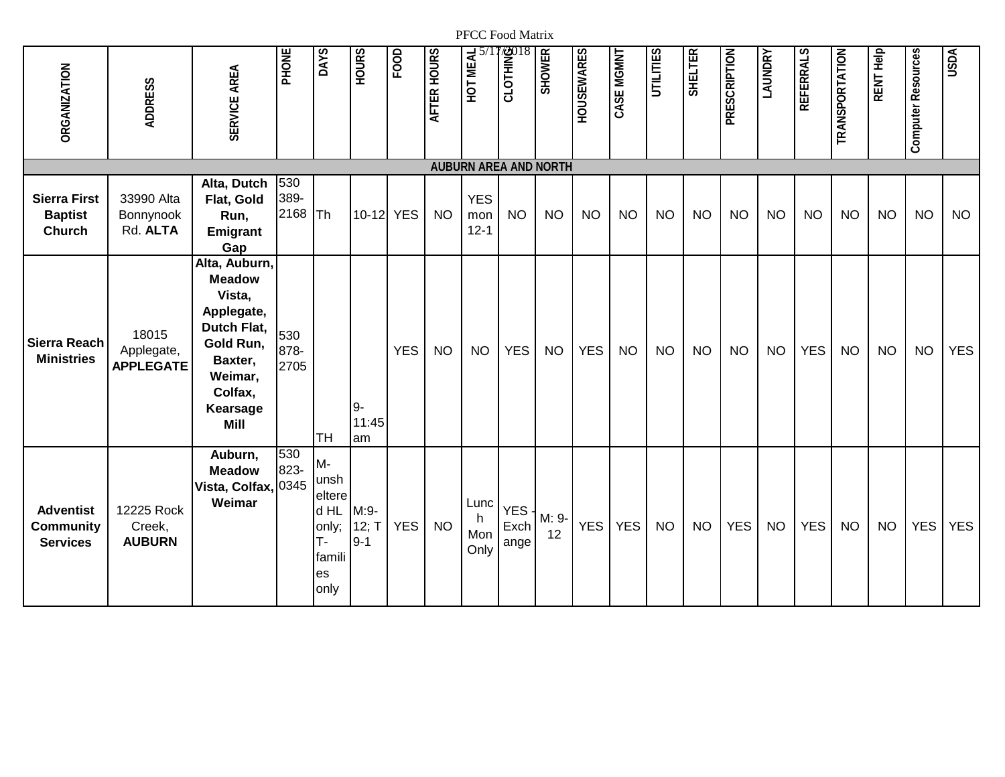| <b>ORGANIZATION</b>                                     | <b>ADDRESS</b>                          | SERVICE AREA                                                                                                                                   | PHONE               | DAYS                                                                | <b>HOURS</b>               | FOOD       | AFTER HOURS | HOT MEAL                      | <b>SILOTHING</b>     | <b>SHOWER</b> | <b>HOUSEWARES</b> | CASE MGMNT | UTILITIES | <b>SHELTER</b> | PRESCRIPTION | <b><i>LAUNDRY</i></b> | REFERRALS  | TRANSPORTATION | RENT Help | <b>Computer Resources</b> | <b>USDA</b> |
|---------------------------------------------------------|-----------------------------------------|------------------------------------------------------------------------------------------------------------------------------------------------|---------------------|---------------------------------------------------------------------|----------------------------|------------|-------------|-------------------------------|----------------------|---------------|-------------------|------------|-----------|----------------|--------------|-----------------------|------------|----------------|-----------|---------------------------|-------------|
|                                                         |                                         |                                                                                                                                                |                     |                                                                     |                            |            |             | <b>AUBURN AREA AND NORTH</b>  |                      |               |                   |            |           |                |              |                       |            |                |           |                           |             |
| <b>Sierra First</b><br><b>Baptist</b><br><b>Church</b>  | 33990 Alta<br>Bonnynook<br>Rd. ALTA     | Alta, Dutch<br>Flat, Gold<br>Run,<br>Emigrant<br>Gap                                                                                           | 530<br>389-<br>2168 | Th                                                                  | 10-12 YES                  |            | <b>NO</b>   | <b>YES</b><br>mon<br>$12 - 1$ | <b>NO</b>            | <b>NO</b>     | <b>NO</b>         | <b>NO</b>  | <b>NO</b> | <b>NO</b>      | <b>NO</b>    | <b>NO</b>             | <b>NO</b>  | <b>NO</b>      | <b>NO</b> | <b>NO</b>                 | <b>NO</b>   |
| Sierra Reach<br><b>Ministries</b>                       | 18015<br>Applegate,<br><b>APPLEGATE</b> | Alta, Auburn,<br><b>Meadow</b><br>Vista,<br>Applegate,<br>Dutch Flat,<br>Gold Run,<br>Baxter,<br>Weimar,<br>Colfax,<br>Kearsage<br><b>Mill</b> | 530<br>878-<br>2705 | <b>TH</b>                                                           | $9-$<br>11:45<br>am        | <b>YES</b> | <b>NO</b>   | <b>NO</b>                     | <b>YES</b>           | <b>NO</b>     | <b>YES</b>        | <b>NO</b>  | <b>NO</b> | <b>NO</b>      | <b>NO</b>    | <b>NO</b>             | <b>YES</b> | <b>NO</b>      | <b>NO</b> | <b>NO</b>                 | <b>YES</b>  |
| <b>Adventist</b><br><b>Community</b><br><b>Services</b> | 12225 Rock<br>Creek,<br><b>AUBURN</b>   | Auburn,<br><b>Meadow</b><br>Vista, Colfax, 0345<br>Weimar                                                                                      | 530<br>823-         | M-<br>unsh<br>eltere<br>d HL<br>only;<br>т-<br>famili<br>es<br>only | $M:9-$<br>12; T<br>$9 - 1$ | <b>YES</b> | <b>NO</b>   | Lunc<br>h.<br>Mon<br>Only     | YES.<br>Exch<br>ange | M: 9-<br>12   | <b>YES</b>        | <b>YES</b> | <b>NO</b> | <b>NO</b>      | <b>YES</b>   | <b>NO</b>             | <b>YES</b> | <b>NO</b>      | <b>NO</b> | <b>YES</b>                | <b>YES</b>  |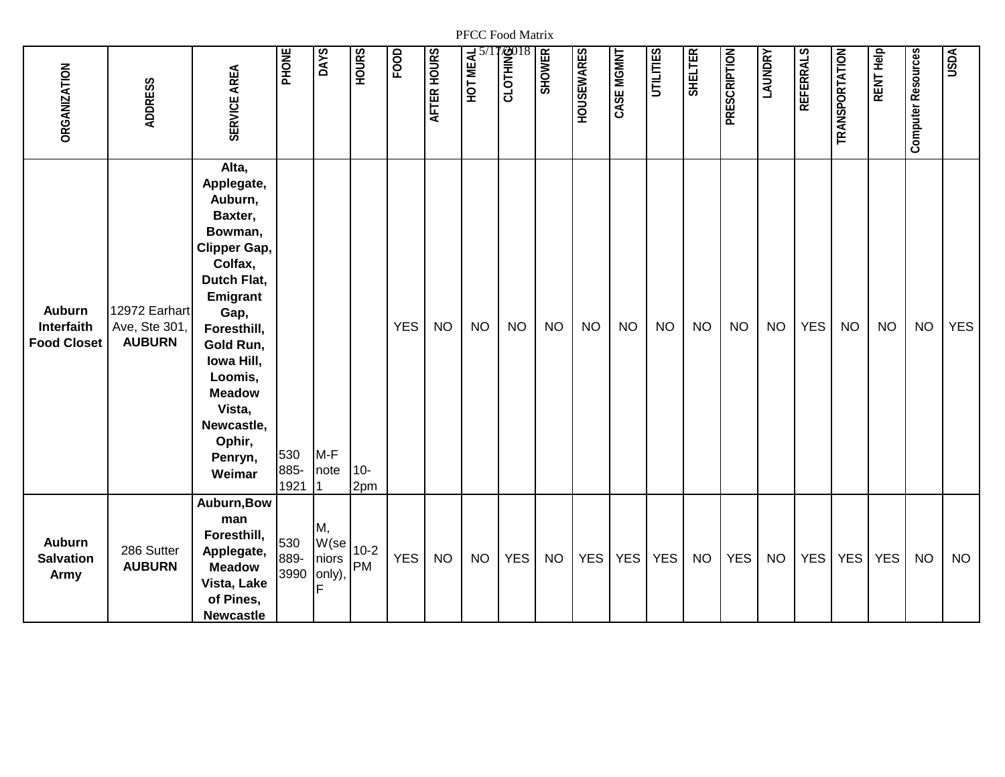| <b><i>ORGANIZATION</i></b>                        | <b>ADDRESS</b>                                 | SERVICE AREA                                                                                                                                                                                                                                    | PHONE               | <b>DAYS</b>                  | <b>HOURS</b> | FOD        | AFTER HOURS | HOT MEAL  | <b>BOTHING</b><br>CLOTHING | <b>SHOWER</b> | <b>HOUSEWARES</b> | CASE MGMNT | UTILITIES  | <b>SHELTER</b> | <b>PRESCRIPTION</b> | <b>ANDRY</b> | REFERRALS  | <b>TRANSPORTATION</b> | RENT Help  | Computer Resources | USDA       |
|---------------------------------------------------|------------------------------------------------|-------------------------------------------------------------------------------------------------------------------------------------------------------------------------------------------------------------------------------------------------|---------------------|------------------------------|--------------|------------|-------------|-----------|----------------------------|---------------|-------------------|------------|------------|----------------|---------------------|--------------|------------|-----------------------|------------|--------------------|------------|
| <b>Auburn</b><br>Interfaith<br><b>Food Closet</b> | 12972 Earhart<br>Ave, Ste 301<br><b>AUBURN</b> | Alta,<br>Applegate,<br>Auburn,<br>Baxter,<br>Bowman,<br>Clipper Gap,<br>Colfax,<br>Dutch Flat,<br>Emigrant<br>Gap,<br>Foresthill,<br>Gold Run,<br>Iowa Hill,<br>Loomis,<br><b>Meadow</b><br>Vista,<br>Newcastle,<br>Ophir,<br>Penryn,<br>Weimar | 530<br>885-<br>1921 | $M-F$<br>note                | $10-$<br>2pm | <b>YES</b> | <b>NO</b>   | <b>NO</b> | <b>NO</b>                  | <b>NO</b>     | <b>NO</b>         | <b>NO</b>  | <b>NO</b>  | <b>NO</b>      | <b>NO</b>           | <b>NO</b>    | <b>YES</b> | <b>NO</b>             | <b>NO</b>  | <b>NO</b>          | <b>YES</b> |
| <b>Auburn</b><br><b>Salvation</b><br>Army         | 286 Sutter<br><b>AUBURN</b>                    | Auburn, Bow<br>man<br>Foresthill,<br>Applegate,<br><b>Meadow</b><br>Vista, Lake<br>of Pines,<br><b>Newcastle</b>                                                                                                                                | 530<br>889-<br>3990 | М,<br>W(se<br>niors<br>only) | $10-2$<br>PM | <b>YES</b> | <b>NO</b>   | <b>NO</b> | <b>YES</b>                 | <b>NO</b>     | <b>YES</b>        | <b>YES</b> | <b>YES</b> | <b>NO</b>      | <b>YES</b>          | <b>NO</b>    | <b>YES</b> | <b>YES</b>            | <b>YES</b> | <b>NO</b>          | <b>NO</b>  |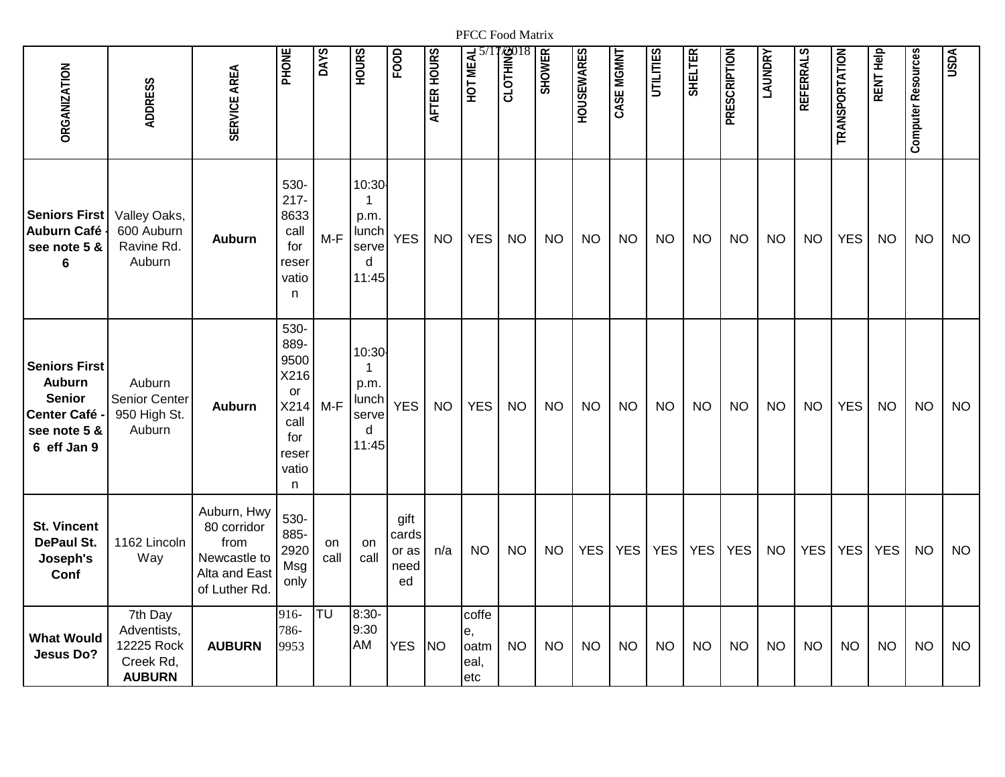| <b>ORGANIZATION</b>                                                                                  | <b>ADDRESS</b>                                                     | SERVICE AREA                                                                        | PHONE                                                                            | DAYS       | <b>HOURS</b>                                       | FOOD                                 | AFTER HOURS | HOT MEAL                            | <b>EXPLAIN</b><br>CLOTHING | <b>SHOWER</b> | <b>HOUSEWARES</b> | CASE MGMNT | UTILITIES  | <b>SHELTER</b> | PRESCRIPTION | <b><i>LAUNDRY</i></b> | REFERRALS  | TRANSPORTATION | RENT Help  | Computer Resources | <b>USDA</b> |
|------------------------------------------------------------------------------------------------------|--------------------------------------------------------------------|-------------------------------------------------------------------------------------|----------------------------------------------------------------------------------|------------|----------------------------------------------------|--------------------------------------|-------------|-------------------------------------|----------------------------|---------------|-------------------|------------|------------|----------------|--------------|-----------------------|------------|----------------|------------|--------------------|-------------|
| <b>Seniors First</b><br><b>Auburn Café</b><br>see note 5 &<br>6                                      | Valley Oaks,<br>600 Auburn<br>Ravine Rd.<br>Auburn                 | <b>Auburn</b>                                                                       | 530-<br>$217 -$<br>8633<br>call<br>for<br>reser<br>vatio<br>n                    | $M-F$      | 10:30<br>1<br>p.m.<br>lunch<br>serve<br>d<br>11:45 | <b>YES</b>                           | <b>NO</b>   | <b>YES</b>                          | <b>NO</b>                  | <b>NO</b>     | <b>NO</b>         | <b>NO</b>  | <b>NO</b>  | <b>NO</b>      | <b>NO</b>    | <b>NO</b>             | <b>NO</b>  | <b>YES</b>     | <b>NO</b>  | <b>NO</b>          | <b>NO</b>   |
| <b>Seniors First</b><br><b>Auburn</b><br><b>Senior</b><br>Center Café<br>see note 5 &<br>6 eff Jan 9 | Auburn<br><b>Senior Center</b><br>950 High St.<br>Auburn           | <b>Auburn</b>                                                                       | 530-<br>889-<br>9500<br>X216<br>or<br>X214<br>call<br>for<br>reser<br>vatio<br>n | $M-F$      | 10:30<br>1<br>p.m.<br>lunch<br>serve<br>d<br>11:45 | <b>YES</b>                           | <b>NO</b>   | <b>YES</b>                          | <b>NO</b>                  | <b>NO</b>     | <b>NO</b>         | <b>NO</b>  | <b>NO</b>  | <b>NO</b>      | <b>NO</b>    | <b>NO</b>             | <b>NO</b>  | <b>YES</b>     | <b>NO</b>  | <b>NO</b>          | <b>NO</b>   |
| <b>St. Vincent</b><br>DePaul St.<br>Joseph's<br>Conf                                                 | 1162 Lincoln<br>Way                                                | Auburn, Hwy<br>80 corridor<br>from<br>Newcastle to<br>Alta and East<br>of Luther Rd | 530-<br>885-<br>2920<br>Msg<br>only                                              | on<br>call | on<br>call                                         | gift<br>cards<br>or as<br>need<br>ed | n/a         | <b>NO</b>                           | <b>NO</b>                  | <b>NO</b>     | <b>YES</b>        | <b>YES</b> | <b>YES</b> | <b>YES</b>     | <b>YES</b>   | <b>NO</b>             | <b>YES</b> | <b>YES</b>     | <b>YES</b> | <b>NO</b>          | <b>NO</b>   |
| <b>What Would</b><br><b>Jesus Do?</b>                                                                | 7th Day<br>Adventists,<br>12225 Rock<br>Creek Rd,<br><b>AUBURN</b> | <b>AUBURN</b>                                                                       | 916-<br>786-<br>9953                                                             | TU         | $8:30-$<br>9:30<br>AM                              | <b>YES</b>                           | <b>NO</b>   | coffe<br>е,<br>oatm<br>eal,<br>letc | <b>NO</b>                  | <b>NO</b>     | <b>NO</b>         | <b>NO</b>  | <b>NO</b>  | <b>NO</b>      | <b>NO</b>    | <b>NO</b>             | <b>NO</b>  | <b>NO</b>      | <b>NO</b>  | <b>NO</b>          | <b>NO</b>   |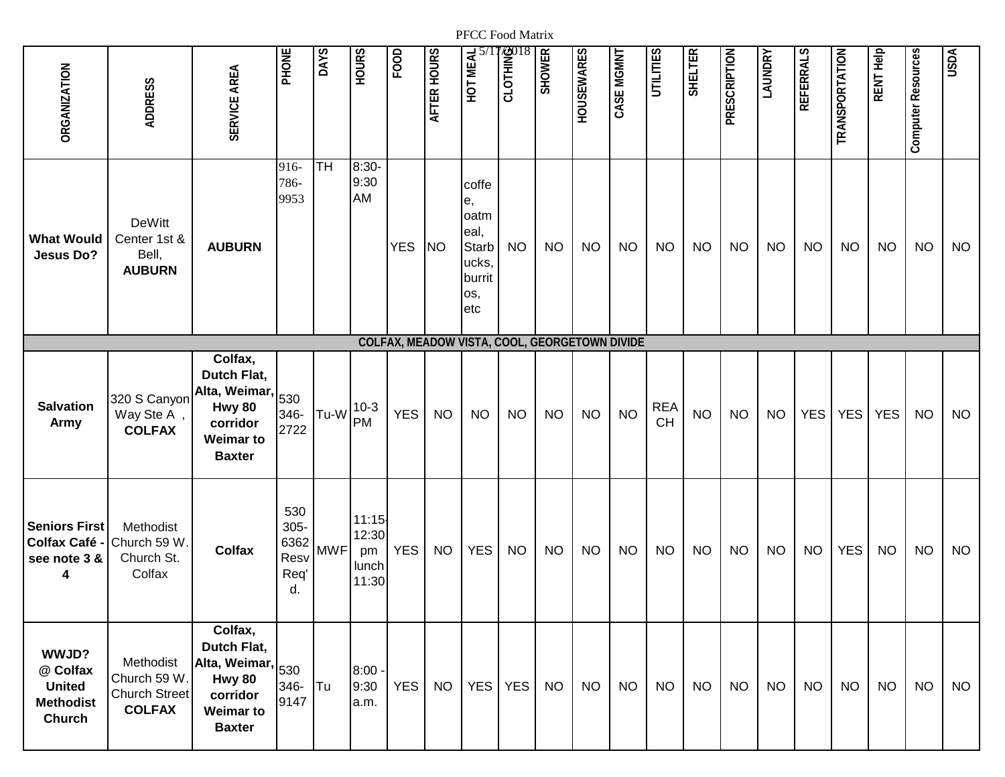| <b>ORGANIZATION</b>                                              | <b>ADDRESS</b>                                                    | SERVICE AREA                                                                                                        | PHONE                                        | <b>DAYS</b> | <b>HOURS</b>                           | FOOD       | AFTER HOURS | HOT MEAL                                                                     | <b>BOTHING</b><br>CLOTHING | <b>SHOWER</b> | <b>HOUSEWARES</b> | CASE MGMNT | UTILITIES        | <b>SHELTER</b> | <b>PRESCRIPTION</b> | LAUNDRY   | REFERRALS  | TRANSPORTATION | RENT Help  | Computer Resources | <b>USDA</b> |
|------------------------------------------------------------------|-------------------------------------------------------------------|---------------------------------------------------------------------------------------------------------------------|----------------------------------------------|-------------|----------------------------------------|------------|-------------|------------------------------------------------------------------------------|----------------------------|---------------|-------------------|------------|------------------|----------------|---------------------|-----------|------------|----------------|------------|--------------------|-------------|
| <b>What Would</b><br><b>Jesus Do?</b>                            | DeWitt<br>Center 1st &<br>Bell,<br><b>AUBURN</b>                  | <b>AUBURN</b>                                                                                                       | 916-<br>786-<br>9953                         | <b>TH</b>   | 8:30-<br>9:30<br>AM                    | <b>YES</b> | <b>NO</b>   | coffe<br>е,<br>oatm<br>eal,<br><b>Starb</b><br>ucks,<br>burrit<br>os,<br>etc | <b>NO</b>                  | <b>NO</b>     | <b>NO</b>         | <b>NO</b>  | <b>NO</b>        | <b>NO</b>      | <b>NO</b>           | <b>NO</b> | <b>NO</b>  | <b>NO</b>      | <b>NO</b>  | <b>NO</b>          | <b>NO</b>   |
|                                                                  |                                                                   |                                                                                                                     |                                              |             |                                        |            |             | COLFAX, MEADOW VISTA, COOL, GEORGETOWN DIVIDE                                |                            |               |                   |            |                  |                |                     |           |            |                |            |                    |             |
| <b>Salvation</b><br><b>Army</b>                                  | 320 S Canyon<br>Way Ste A<br><b>COLFAX</b>                        | Colfax,<br>Dutch Flat,<br>Alta, Weimar, <sub>530</sub><br>Hwy 80<br>corridor<br><b>Weimar to</b><br><b>Baxter</b>   | 346-<br>2722                                 | Tu-W        | $10-3$<br>PM                           | <b>YES</b> | <b>NO</b>   | <b>NO</b>                                                                    | <b>NO</b>                  | <b>NO</b>     | <b>NO</b>         | <b>NO</b>  | <b>REA</b><br>CH | <b>NO</b>      | <b>NO</b>           | <b>NO</b> | <b>YES</b> | <b>YES</b>     | <b>YES</b> | <b>NO</b>          | <b>NO</b>   |
| <b>Seniors First</b><br>Colfax Café -<br>see note 3 &<br>4       | Methodist<br>Church 59 W<br>Church St.<br>Colfax                  | <b>Colfax</b>                                                                                                       | 530<br>$305 -$<br>6362<br>Resv<br>Req'<br>d. | <b>MWF</b>  | 11:15<br>12:30<br>pm<br>lunch<br>11:30 | <b>YES</b> | <b>NO</b>   | <b>YES</b>                                                                   | <b>NO</b>                  | <b>NO</b>     | <b>NO</b>         | <b>NO</b>  | <b>NO</b>        | <b>NO</b>      | <b>NO</b>           | <b>NO</b> | <b>NO</b>  | <b>YES</b>     | <b>NO</b>  | <b>NO</b>          | <b>NO</b>   |
| WWJD?<br>@ Colfax<br><b>United</b><br><b>Methodist</b><br>Church | Methodist<br>Church 59 W<br><b>Church Street</b><br><b>COLFAX</b> | Colfax,<br>Dutch Flat,<br>Alta, Weimar, $ _{530}$<br><b>Hwy 80</b><br>corridor<br><b>Weimar to</b><br><b>Baxter</b> | 346-<br>9147                                 | Tu          | $8:00 -$<br>9:30<br>a.m.               | <b>YES</b> | <b>NO</b>   | <b>YES</b>                                                                   | <b>YES</b>                 | <b>NO</b>     | <b>NO</b>         | <b>NO</b>  | <b>NO</b>        | <b>NO</b>      | <b>NO</b>           | <b>NO</b> | <b>NO</b>  | <b>NO</b>      | <b>NO</b>  | <b>NO</b>          | <b>NO</b>   |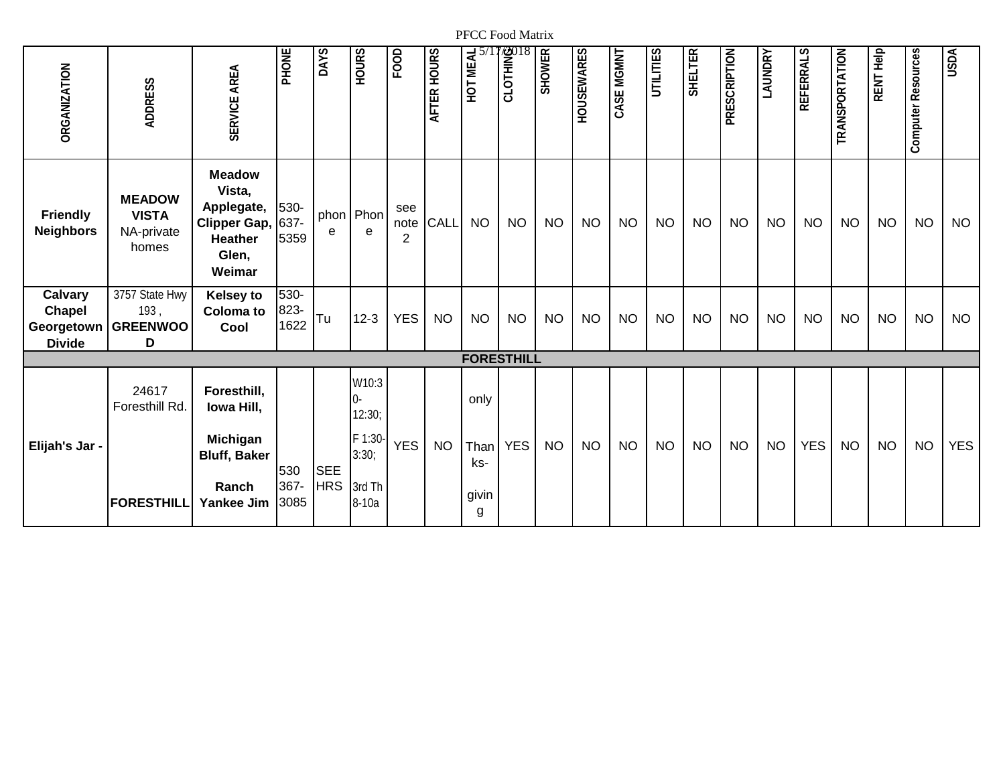| <b>ORGANIZATION</b>                                     | <b>ADDRESS</b>                                       | SERVICE AREA                                                                                      | PHONE                | DAYS       | <b>HOURS</b>      | FOOD                          | AFTER HOURS | HOT MEAL          | <b>STOTHING</b> | <b>SHOWER</b> | <b>HOUSEWARES</b> | CASE MGMNT | UTILITIES | <b>SHELTER</b> | PRESCRIPTION | <b>LAUNDRY</b> | <b>REFERRALS</b> | TRANSPORTATION | RENT Help | Computer Resources | <b>USDA</b> |
|---------------------------------------------------------|------------------------------------------------------|---------------------------------------------------------------------------------------------------|----------------------|------------|-------------------|-------------------------------|-------------|-------------------|-----------------|---------------|-------------------|------------|-----------|----------------|--------------|----------------|------------------|----------------|-----------|--------------------|-------------|
| <b>Friendly</b><br><b>Neighbors</b>                     | <b>MEADOW</b><br><b>VISTA</b><br>NA-private<br>homes | <b>Meadow</b><br>Vista,<br>Applegate,<br><b>Clipper Gap,</b><br><b>Heather</b><br>Glen,<br>Weimar | 530-<br>637-<br>5359 | phon<br>e  | Phon<br>e         | see<br>note<br>$\overline{2}$ | CALL        | <b>NO</b>         | <b>NO</b>       | <b>NO</b>     | <b>NO</b>         | <b>NO</b>  | <b>NO</b> | <b>NO</b>      | <b>NO</b>    | <b>NO</b>      | <b>NO</b>        | <b>NO</b>      | <b>NO</b> | <b>NO</b>          | <b>NO</b>   |
| Calvary<br><b>Chapel</b><br>Georgetown<br><b>Divide</b> | 3757 State Hwy<br>193,<br><b>GREENWOO</b><br>D       | <b>Kelsey to</b><br><b>Coloma</b> to<br>Cool                                                      | 530-<br>823-<br>1622 | Tu         | $12 - 3$          | <b>YES</b>                    | <b>NO</b>   | <b>NO</b>         | <b>NO</b>       | <b>NO</b>     | <b>NO</b>         | <b>NO</b>  | <b>NO</b> | <b>NO</b>      | <b>NO</b>    | <b>NO</b>      | <b>NO</b>        | <b>NO</b>      | <b>NO</b> | <b>NO</b>          | <b>NO</b>   |
|                                                         | 24617                                                | Foresthill,                                                                                       |                      |            | W10:3             |                               |             | <b>FORESTHILL</b> |                 |               |                   |            |           |                |              |                |                  |                |           |                    |             |
|                                                         | <b>Foresthill Rd</b>                                 | Iowa Hill,                                                                                        |                      |            | 0-<br>12:30;      |                               |             | only              |                 |               |                   |            |           |                |              |                |                  |                |           |                    |             |
| Elijah's Jar -                                          |                                                      | <b>Michigan</b><br><b>Bluff, Baker</b>                                                            | 530                  | <b>SEE</b> | F 1:30-<br>3:30:  | <b>YES</b>                    | <b>NO</b>   | Than<br>ks-       | <b>YES</b>      | <b>NO</b>     | <b>NO</b>         | <b>NO</b>  | <b>NO</b> | <b>NO</b>      | <b>NO</b>    | <b>NO</b>      | <b>YES</b>       | <b>NO</b>      | <b>NO</b> | <b>NO</b>          | <b>YES</b>  |
|                                                         | <b>FORESTHILL</b>                                    | Ranch<br><b>Yankee Jim</b>                                                                        | 367-<br>3085         | <b>HRS</b> | 3rd Th<br>$8-10a$ |                               |             | givin<br>g        |                 |               |                   |            |           |                |              |                |                  |                |           |                    |             |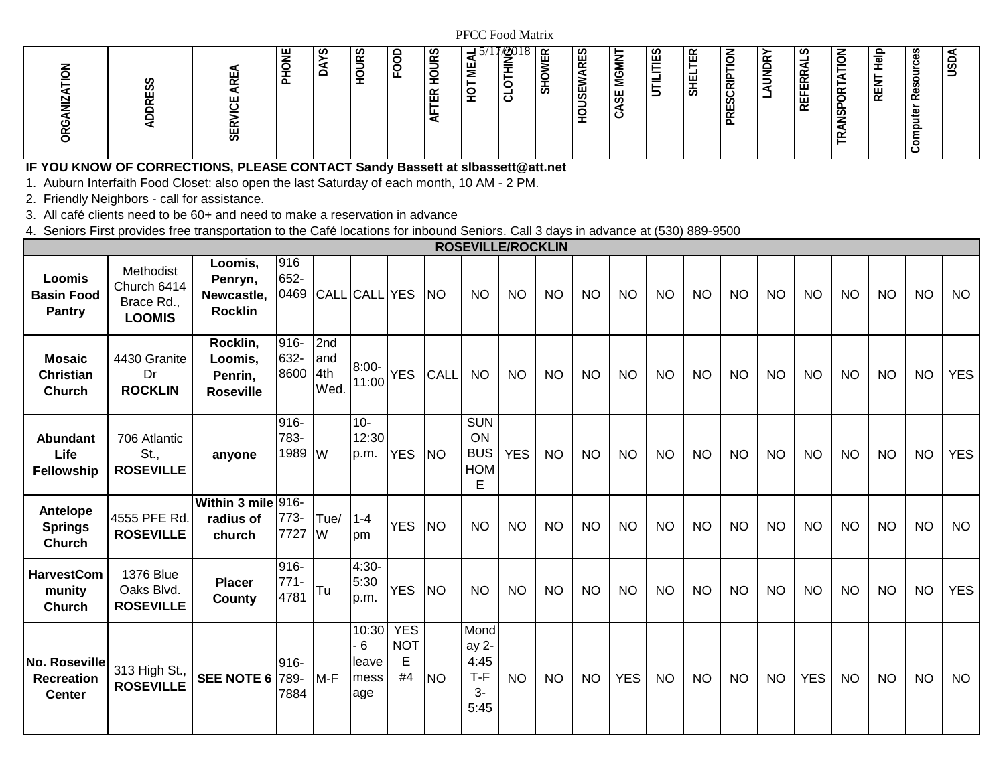| ~ | . U<br>┻<br>–<br>$\check{ }$<br>-<br>∼<br>ப<br>ᅩ<br>$\tilde{\phantom{0}}$<br>∸<br>∽<br>.,<br>S | ╭<br>ഗ<br>✓<br>Š<br>$\propto$<br>$\circ$<br>$\overline{5}$<br>$\overline{\phantom{0}}$<br>ب<br>⌒<br>ட<br>−<br>ٮ<br>-<br><b>__</b><br>--<br>$\tilde{\phantom{a}}$<br>ш<br>ᅳ | 1/201<br>8 I ∝<br>U.<br>⊢<br>-<br>っ<br>ž<br>냁<br>岂<br>⋍<br>GMI<br>ш<br>-<br>-<br>Σ<br>-<br>∽<br>–<br>È<br>Ź<br>-<br>∽<br>ー<br>ದ<br>∽<br>₩<br>ٮ<br>55<br>-<br>-<br>◡<br>ᅩ<br>-<br>◡<br>-<br>╰<br>- | $\propto$<br>$\overline{6}$<br>v<br>$\approx$<br>끝<br>ш<br>$\overline{\phantom{0}}$<br>AUNDI<br>–<br>−<br>$\overline{\phantom{0}}$<br>-<br>。<br>R<br>SHEI<br>-<br>$\overline{\phantom{0}}$<br>−<br>∍<br>ပ<br>-<br>Ō<br>ட<br>$\tilde{\phantom{a}}$ | ラ<br>௨<br>ທ<br>. v.<br>⋍<br>$\overline{\Phi}$<br>ധ<br>∽<br>$\overline{\phantom{0}}$<br>$\check{ }$<br>$\sigma$<br>Š<br>$\rightarrow$<br><u>_</u><br><b>__</b><br>-<br>œ<br>-<br><b>11</b><br>ــ<br>⋖<br>–<br>c<br>≥<br>−<br>S<br>்ட<br>$\alpha$<br>। 윤<br>Φ<br>்ட<br>∝<br>∽<br>ш<br>ٮ<br>௨<br>$\tilde{\phantom{a}}$<br><u>_</u><br>Φ<br>J<br>ىست<br>-<br>_<br>⋖<br>≏<br>~<br>–<br>0<br>ٮ |
|---|------------------------------------------------------------------------------------------------|----------------------------------------------------------------------------------------------------------------------------------------------------------------------------|---------------------------------------------------------------------------------------------------------------------------------------------------------------------------------------------------|---------------------------------------------------------------------------------------------------------------------------------------------------------------------------------------------------------------------------------------------------|------------------------------------------------------------------------------------------------------------------------------------------------------------------------------------------------------------------------------------------------------------------------------------------------------------------------------------------------------------------------------------------|
|---|------------------------------------------------------------------------------------------------|----------------------------------------------------------------------------------------------------------------------------------------------------------------------------|---------------------------------------------------------------------------------------------------------------------------------------------------------------------------------------------------|---------------------------------------------------------------------------------------------------------------------------------------------------------------------------------------------------------------------------------------------------|------------------------------------------------------------------------------------------------------------------------------------------------------------------------------------------------------------------------------------------------------------------------------------------------------------------------------------------------------------------------------------------|

## **IF YOU KNOW OF CORRECTIONS, PLEASE CONTACT Sandy Bassett at slbassett@att.net**

1. Auburn Interfaith Food Closet: also open the last Saturday of each month, 10 AM - 2 PM.

2. Friendly Neighbors - call for assistance.

3. All café clients need to be 60+ and need to make a reservation in advance

4. Seniors First provides free transportation to the Café locations for inbound Seniors. Call 3 days in advance at (530) 889-9500

|                                                     |                                                         |                                                    |                         |                            |                                    |                                     |             | <b>ROSEVILLE/ROCKLIN</b>                          |            |           |           |            |           |           |           |           |            |           |           |           |            |
|-----------------------------------------------------|---------------------------------------------------------|----------------------------------------------------|-------------------------|----------------------------|------------------------------------|-------------------------------------|-------------|---------------------------------------------------|------------|-----------|-----------|------------|-----------|-----------|-----------|-----------|------------|-----------|-----------|-----------|------------|
| Loomis<br><b>Basin Food</b><br>Pantry               | Methodist<br>Church 6414<br>Brace Rd.,<br><b>LOOMIS</b> | Loomis,<br>Penryn,<br>Newcastle,<br><b>Rocklin</b> | 916<br>652-<br>0469     |                            | CALL CALL YES                      |                                     | <b>NO</b>   | <b>NO</b>                                         | <b>NO</b>  | <b>NO</b> | <b>NO</b> | <b>NO</b>  | <b>NO</b> | NO        | <b>NO</b> | <b>NO</b> | NO.        | <b>NO</b> | <b>NO</b> | <b>NO</b> | <b>NO</b>  |
| <b>Mosaic</b><br><b>Christian</b><br><b>Church</b>  | 4430 Granite<br>Dr<br><b>ROCKLIN</b>                    | Rocklin,<br>Loomis,<br>Penrin,<br><b>Roseville</b> | 916-<br>632-<br>8600    | 2nd<br>land<br>4th<br>Wed. | 8:00-<br>11:00                     | <b>YES</b>                          | <b>CALL</b> | <b>NO</b>                                         | <b>NO</b>  | <b>NO</b> | <b>NO</b> | <b>NO</b>  | <b>NO</b> | <b>NO</b> | <b>NO</b> | <b>NO</b> | <b>NO</b>  | <b>NO</b> | <b>NO</b> | <b>NO</b> | <b>YES</b> |
| <b>Abundant</b><br>Life<br><b>Fellowship</b>        | 706 Atlantic<br>St.,<br><b>ROSEVILLE</b>                | anyone                                             | 916-<br>783-<br>1989    | <b>IW</b>                  | $10 -$<br>12:30<br>p.m.            | <b>YES</b>                          | <b>NO</b>   | <b>SUN</b><br>ON<br><b>BUS</b><br><b>HOM</b><br>E | <b>YES</b> | <b>NO</b> | <b>NO</b> | <b>NO</b>  | <b>NO</b> | <b>NO</b> | <b>NO</b> | <b>NO</b> | <b>NO</b>  | <b>NO</b> | <b>NO</b> | <b>NO</b> | <b>YES</b> |
| Antelope<br><b>Springs</b><br><b>Church</b>         | 4555 PFE Rd.<br><b>ROSEVILLE</b>                        | Within 3 mile 916-<br>radius of<br>church          | 773-<br>7727            | Tue/<br>lW                 | $1 - 4$<br>pm                      | <b>YES</b>                          | <b>NO</b>   | <b>NO</b>                                         | <b>NO</b>  | <b>NO</b> | <b>NO</b> | <b>NO</b>  | <b>NO</b> | <b>NO</b> | <b>NO</b> | <b>NO</b> | <b>NO</b>  | <b>NO</b> | <b>NO</b> | <b>NO</b> | <b>NO</b>  |
| <b>HarvestCom</b><br>munity<br><b>Church</b>        | 1376 Blue<br>Oaks Blvd.<br><b>ROSEVILLE</b>             | <b>Placer</b><br>County                            | 916-<br>$771 -$<br>4781 | <b>T</b> u                 | 4:30-<br>5:30<br>p.m.              | <b>YES</b>                          | <b>NO</b>   | <b>NO</b>                                         | <b>NO</b>  | <b>NO</b> | <b>NO</b> | <b>NO</b>  | <b>NO</b> | <b>NO</b> | <b>NO</b> | <b>NO</b> | <b>NO</b>  | <b>NO</b> | <b>NO</b> | <b>NO</b> | <b>YES</b> |
| No. Roseville<br><b>Recreation</b><br><b>Center</b> | 313 High St.,<br><b>ROSEVILLE</b>                       | <b>SEE NOTE 6 789-</b>                             | 916-<br>7884            | $M-F$                      | 10:30<br>6<br>leave<br>mess<br>age | <b>YES</b><br><b>NOT</b><br>E<br>#4 | <b>NO</b>   | Mond<br>ay 2-<br>4:45<br>$T-F$<br>3-<br>5:45      | <b>NO</b>  | <b>NO</b> | <b>NO</b> | <b>YES</b> | <b>NO</b> | <b>NO</b> | <b>NO</b> | <b>NO</b> | <b>YES</b> | <b>NO</b> | <b>NO</b> | <b>NO</b> | <b>NO</b>  |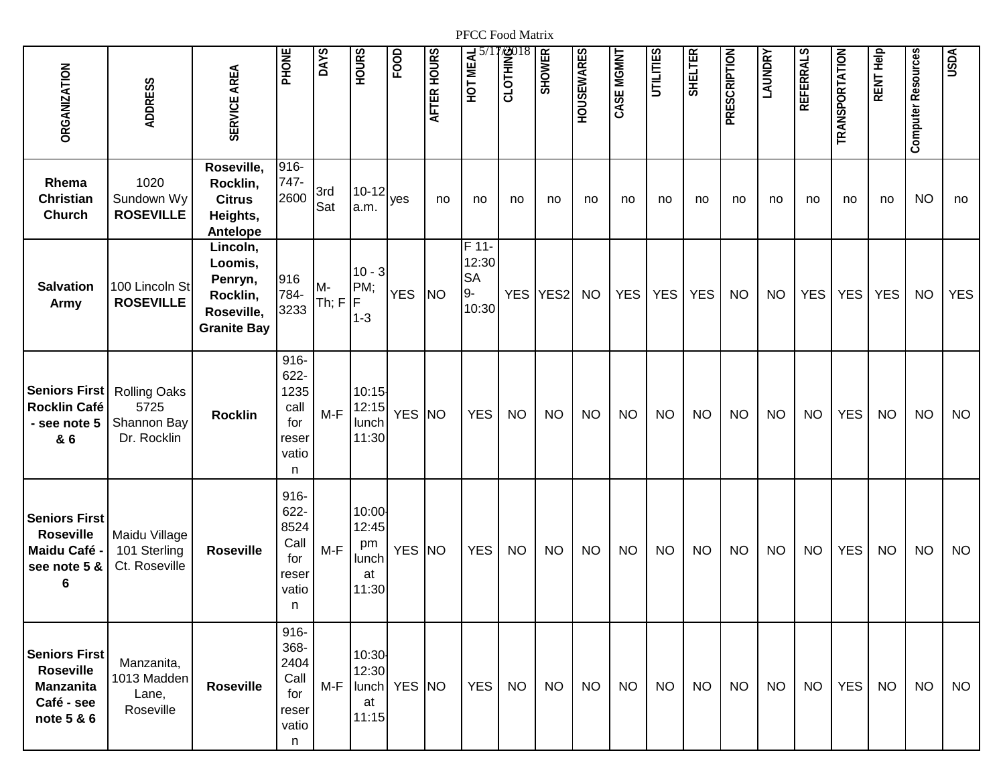| <b>ORGANIZATION</b>                                                                      | <b>ADDRESS</b>                                            | SERVICE AREA                                                                   | PHONE                                                         | <b>DAYS</b> | <b>HOURS</b>                                 | FOOD         | AFTER HOURS | HOT MEAL                                                | <b>STOLHING</b> | <b>SHOWER</b> | <b>HOUSEWARES</b> | CASE MGMNT | <b>UTILITIES</b> | <b>SHELTER</b> | PRESCRIPTION | <b><i>LAUNDRY</i></b> | REFERRALS  | TRANSPORTATION | RENT Help  | <b>Computer Resources</b> | <b>USDA</b> |
|------------------------------------------------------------------------------------------|-----------------------------------------------------------|--------------------------------------------------------------------------------|---------------------------------------------------------------|-------------|----------------------------------------------|--------------|-------------|---------------------------------------------------------|-----------------|---------------|-------------------|------------|------------------|----------------|--------------|-----------------------|------------|----------------|------------|---------------------------|-------------|
| Rhema<br><b>Christian</b><br><b>Church</b>                                               | 1020<br>Sundown Wy<br><b>ROSEVILLE</b>                    | Roseville,<br>Rocklin,<br><b>Citrus</b><br>Heights,<br>Antelope                | 916-<br>747-<br>2600                                          | 3rd<br>Sat  | $10 - 12$<br>a.m.                            | yes          | no          | no                                                      | no              | no            | no                | no         | no               | no             | no           | no                    | no         | no             | no         | <b>NO</b>                 | no          |
| <b>Salvation</b><br><b>Army</b>                                                          | 100 Lincoln St<br><b>ROSEVILLE</b>                        | Lincoln,<br>Loomis,<br>Penryn,<br>Rocklin,<br>Roseville,<br><b>Granite Bay</b> | 916<br>784-<br>3233                                           | M-<br>Th; F | $10 - 3$<br>PM;<br>F<br>$1 - 3$              | <b>YES</b>   | <b>NO</b>   | $\overline{F}$ 11-<br>12:30<br><b>SA</b><br>9-<br>10:30 | <b>YES</b>      | YES2          | <b>NO</b>         | <b>YES</b> | <b>YES</b>       | <b>YES</b>     | <b>NO</b>    | <b>NO</b>             | <b>YES</b> | <b>YES</b>     | <b>YES</b> | <b>NO</b>                 | <b>YES</b>  |
| <b>Seniors First</b><br>Rocklin Café<br>- see note 5<br>& 6                              | <b>Rolling Oaks</b><br>5725<br>Shannon Bay<br>Dr. Rocklin | <b>Rocklin</b>                                                                 | $916 -$<br>622-<br>1235<br>call<br>for<br>reser<br>vatio<br>n | $M-F$       | 10:15<br>12:15<br>lunch<br>11:30             | YES NO       |             | <b>YES</b>                                              | <b>NO</b>       | <b>NO</b>     | <b>NO</b>         | <b>NO</b>  | <b>NO</b>        | <b>NO</b>      | <b>NO</b>    | <b>NO</b>             | <b>NO</b>  | <b>YES</b>     | <b>NO</b>  | <b>NO</b>                 | <b>NO</b>   |
| <b>Seniors First</b><br><b>Roseville</b><br>Maidu Café<br>see note 5 &<br>6              | Maidu Village<br>101 Sterling<br>Ct. Roseville            | <b>Roseville</b>                                                               | $916 -$<br>622-<br>8524<br>Call<br>for<br>reser<br>vatio<br>n | $M-F$       | 10:00<br>12:45<br>pm<br>lunch<br>at<br>11:30 | YES NO       |             | <b>YES</b>                                              | <b>NO</b>       | <b>NO</b>     | <b>NO</b>         | <b>NO</b>  | <b>NO</b>        | <b>NO</b>      | <b>NO</b>    | <b>NO</b>             | <b>NO</b>  | <b>YES</b>     | <b>NO</b>  | <b>NO</b>                 | <b>NO</b>   |
| <b>Seniors First</b><br><b>Roseville</b><br><b>Manzanita</b><br>Café - see<br>note 5 & 6 | Manzanita,<br>1013 Madden<br>Lane,<br>Roseville           | <b>Roseville</b>                                                               | $916 -$<br>368-<br>2404<br>Call<br>for<br>reser<br>vatio<br>n | M-F         | 10:30<br>12:30<br>at<br>11:15                | lunch YES NO |             | <b>YES</b>                                              | <b>NO</b>       | <b>NO</b>     | <b>NO</b>         | <b>NO</b>  | <b>NO</b>        | <b>NO</b>      | <b>NO</b>    | <b>NO</b>             | <b>NO</b>  | <b>YES</b>     | <b>NO</b>  | <b>NO</b>                 | <b>NO</b>   |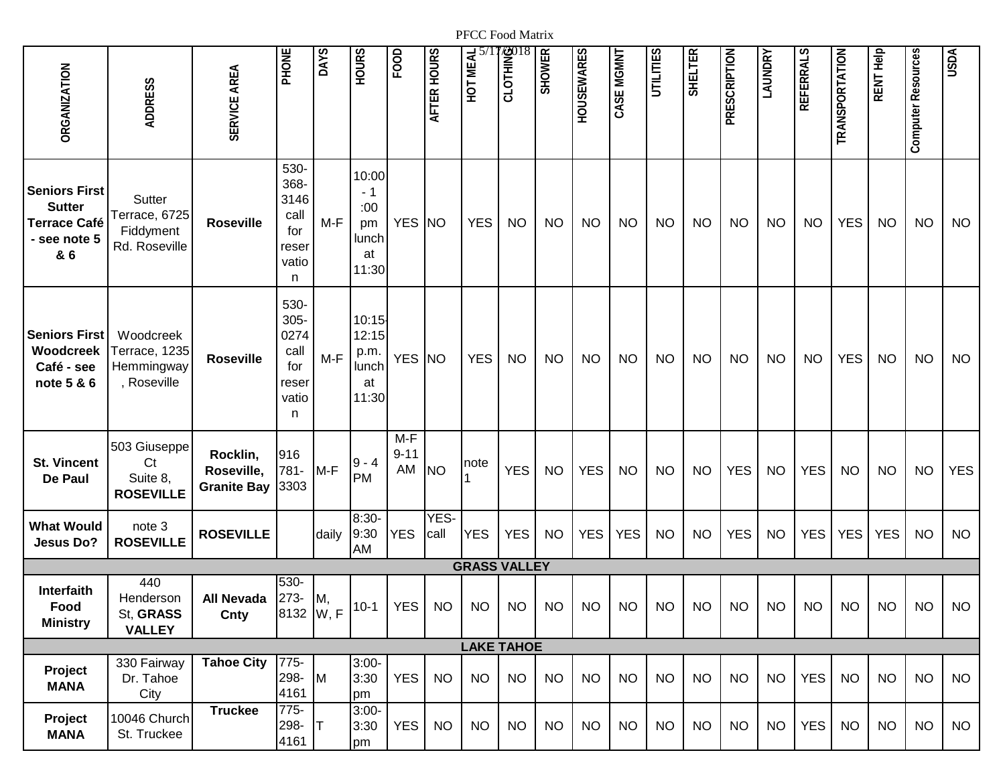| <b>ORGANIZATION</b>                                                                 | <b>ADDRESS</b>                                          | SERVICE AREA                                 | PHONE                                                         | DAYS  | <b>HOURS</b>                                      | FOOD                    | AFTER HOURS  | HOT MEAL            | <b>BOILER</b> | <b>SHOWER</b> | <b>HOUSEWARES</b> | CASE MGMNT | <b>UTILITIES</b> | <b>SHELTER</b> | PRESCRIPTION | LAUNDRY   | REFERRALS  | TRANSPORTATION | RENT Help  | Computer Resources | <b>USDA</b> |
|-------------------------------------------------------------------------------------|---------------------------------------------------------|----------------------------------------------|---------------------------------------------------------------|-------|---------------------------------------------------|-------------------------|--------------|---------------------|---------------|---------------|-------------------|------------|------------------|----------------|--------------|-----------|------------|----------------|------------|--------------------|-------------|
| <b>Seniors First</b><br><b>Sutter</b><br><b>Terrace Café</b><br>- see note 5<br>& 6 | Sutter<br>Terrace, 6725<br>Fiddyment<br>Rd. Roseville   | <b>Roseville</b>                             | 530-<br>368-<br>3146<br>call<br>for<br>reser<br>vatio<br>n.   | $M-F$ | 10:00<br>- 1<br>:00<br>pm<br>lunch<br>at<br>11:30 | YES NO                  |              | <b>YES</b>          | <b>NO</b>     | <b>NO</b>     | <b>NO</b>         | <b>NO</b>  | <b>NO</b>        | <b>NO</b>      | <b>NO</b>    | <b>NO</b> | <b>NO</b>  | <b>YES</b>     | <b>NO</b>  | <b>NO</b>          | <b>NO</b>   |
| <b>Seniors First</b><br>Woodcreek<br>Café - see<br>note 5 & 6                       | Woodcreek<br>Terrace, 1235<br>Hemmingway<br>, Roseville | <b>Roseville</b>                             | 530-<br>$305 -$<br>0274<br>call<br>for<br>reser<br>vatio<br>n | $M-F$ | 10:15<br>12:15<br>p.m.<br>lunch<br>at<br>11:30    | YES NO                  |              | <b>YES</b>          | <b>NO</b>     | <b>NO</b>     | <b>NO</b>         | <b>NO</b>  | <b>NO</b>        | <b>NO</b>      | <b>NO</b>    | <b>NO</b> | <b>NO</b>  | <b>YES</b>     | <b>NO</b>  | <b>NO</b>          | <b>NO</b>   |
| <b>St. Vincent</b><br>De Paul                                                       | 503 Giuseppe<br>Ct<br>Suite 8,<br><b>ROSEVILLE</b>      | Rocklin,<br>Roseville,<br><b>Granite Bay</b> | 916<br>781-<br>3303                                           | $M-F$ | $9 - 4$<br><b>PM</b>                              | $M-F$<br>$9 - 11$<br>AM | <b>NO</b>    | note                | <b>YES</b>    | <b>NO</b>     | <b>YES</b>        | <b>NO</b>  | <b>NO</b>        | <b>NO</b>      | <b>YES</b>   | <b>NO</b> | <b>YES</b> | <b>NO</b>      | <b>NO</b>  | <b>NO</b>          | <b>YES</b>  |
| <b>What Would</b><br>Jesus Do?                                                      | note 3<br><b>ROSEVILLE</b>                              | <b>ROSEVILLE</b>                             |                                                               | daily | $8:30-$<br>9:30<br>AM                             | <b>YES</b>              | YES-<br>call | <b>YES</b>          | <b>YES</b>    | <b>NO</b>     | <b>YES</b>        | <b>YES</b> | <b>NO</b>        | <b>NO</b>      | <b>YES</b>   | <b>NO</b> | <b>YES</b> | <b>YES</b>     | <b>YES</b> | <b>NO</b>          | <b>NO</b>   |
|                                                                                     |                                                         |                                              |                                                               |       |                                                   |                         |              | <b>GRASS VALLEY</b> |               |               |                   |            |                  |                |              |           |            |                |            |                    |             |
| Interfaith<br>Food<br><b>Ministry</b>                                               | 440<br>Henderson<br>St, GRASS<br><b>VALLEY</b>          | <b>All Nevada</b><br>Cnty                    | 530-<br>273-<br>$ 8132 W, F ^{10-1} $                         | M,    |                                                   | YES                     | <b>NO</b>    | <b>NO</b>           | <b>NO</b>     | <b>NO</b>     | <b>NO</b>         | <b>NO</b>  | <b>NO</b>        | <b>NO</b>      | <b>NO</b>    | <b>NO</b> | <b>NO</b>  | <b>NO</b>      | <b>NO</b>  | <b>NO</b>          | <b>NO</b>   |
|                                                                                     |                                                         |                                              |                                                               |       |                                                   |                         |              | <b>LAKE TAHOE</b>   |               |               |                   |            |                  |                |              |           |            |                |            |                    |             |
| Project<br><b>MANA</b>                                                              | 330 Fairway<br>Dr. Tahoe<br>City                        | <b>Tahoe City</b>                            | 775-<br>298-<br>4161                                          | M     | $3:00-$<br>3:30<br>pm                             | <b>YES</b>              | <b>NO</b>    | <b>NO</b>           | <b>NO</b>     | <b>NO</b>     | <b>NO</b>         | <b>NO</b>  | <b>NO</b>        | <b>NO</b>      | <b>NO</b>    | <b>NO</b> | <b>YES</b> | <b>NO</b>      | <b>NO</b>  | <b>NO</b>          | <b>NO</b>   |
| Project<br><b>MANA</b>                                                              | 10046 Church<br>St. Truckee                             | <b>Truckee</b>                               | 775-<br>298-<br>4161                                          | IΤ    | $3:00 -$<br>3:30<br>pm                            | YES                     | <b>NO</b>    | <b>NO</b>           | $NO$          | <b>NO</b>     | <b>NO</b>         | <b>NO</b>  | <b>NO</b>        | <b>NO</b>      | <b>NO</b>    | <b>NO</b> | <b>YES</b> | <b>NO</b>      | <b>NO</b>  | <b>NO</b>          | <b>NO</b>   |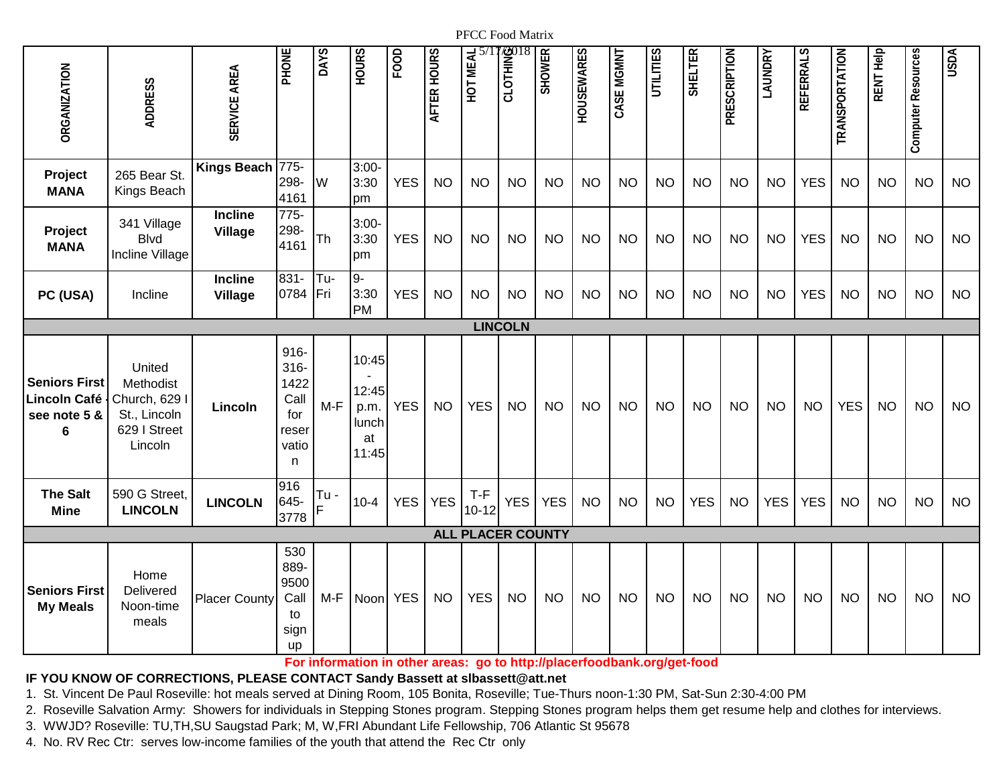| <b>ORGANIZATION</b>                                              | <b>ADDRESS</b>                                                                | SERVICE AREA                     | PHONE                                                             | DAYS       | <b>HOURS</b>                                   | FOOD       | <b>AFTER HOURS</b> | HOT MEAL                 | <b>2018</b><br>E<br>CLOTH | <b>SHOWER</b> | <b>HOUSEWARES</b> | CASE MGMNT | UTILITIES | <b>SHELTER</b> | <b>PRESCRIPTION</b> | LAUNDRY    | REFERRALS  | <b>TRANSPORTATION</b> | RENT Help | Computer Resources | <b>USDA</b> |
|------------------------------------------------------------------|-------------------------------------------------------------------------------|----------------------------------|-------------------------------------------------------------------|------------|------------------------------------------------|------------|--------------------|--------------------------|---------------------------|---------------|-------------------|------------|-----------|----------------|---------------------|------------|------------|-----------------------|-----------|--------------------|-------------|
| Project<br><b>MANA</b>                                           | 265 Bear St.<br>Kings Beach                                                   | Kings Beach 775-                 | 298-<br>4161                                                      | W          | $3:00 -$<br>3:30<br>pm                         | <b>YES</b> | <b>NO</b>          | <b>NO</b>                | <b>NO</b>                 | <b>NO</b>     | <b>NO</b>         | <b>NO</b>  | <b>NO</b> | <b>NO</b>      | <b>NO</b>           | <b>NO</b>  | <b>YES</b> | <b>NO</b>             | <b>NO</b> | <b>NO</b>          | <b>NO</b>   |
| Project<br><b>MANA</b>                                           | 341 Village<br><b>Blvd</b><br>Incline Village                                 | <b>Incline</b><br><b>Village</b> | $775-$<br>298-<br>4161                                            | Th         | $3:00-$<br>3:30<br>pm                          | <b>YES</b> | <b>NO</b>          | <b>NO</b>                | <b>NO</b>                 | <b>NO</b>     | <b>NO</b>         | <b>NO</b>  | <b>NO</b> | <b>NO</b>      | <b>NO</b>           | <b>NO</b>  | <b>YES</b> | <b>NO</b>             | <b>NO</b> | <b>NO</b>          | <b>NO</b>   |
| PC (USA)                                                         | Incline                                                                       | Incline<br><b>Village</b>        | $831 -$<br>0784                                                   | Tu-<br>Fri | $9-$<br>3:30<br><b>PM</b>                      | <b>YES</b> | <b>NO</b>          | <b>NO</b>                | <b>NO</b>                 | <b>NO</b>     | <b>NO</b>         | <b>NO</b>  | <b>NO</b> | <b>NO</b>      | <b>NO</b>           | <b>NO</b>  | <b>YES</b> | <b>NO</b>             | <b>NO</b> | <b>NO</b>          | <b>NO</b>   |
|                                                                  |                                                                               |                                  |                                                                   |            |                                                |            |                    |                          | <b>LINCOLN</b>            |               |                   |            |           |                |                     |            |            |                       |           |                    |             |
| <b>Seniors First</b><br><b>Lincoln Café</b><br>see note 5 &<br>6 | United<br>Methodist<br>Church, 629<br>St., Lincoln<br>629 I Street<br>Lincoln | Lincoln                          | $916 -$<br>$316 -$<br>1422<br>Call<br>for<br>reser<br>vatio<br>n. | $M-F$      | 10:45<br>12:45<br>p.m.<br>lunch<br>at<br>11:45 | <b>YES</b> | <b>NO</b>          | <b>YES</b>               | <b>NO</b>                 | <b>NO</b>     | <b>NO</b>         | <b>NO</b>  | <b>NO</b> | <b>NO</b>      | <b>NO</b>           | <b>NO</b>  | <b>NO</b>  | <b>YES</b>            | <b>NO</b> | <b>NO</b>          | <b>NO</b>   |
| <b>The Salt</b><br><b>Mine</b>                                   | 590 G Street<br><b>LINCOLN</b>                                                | <b>LINCOLN</b>                   | 916<br>645-<br>3778                                               | Tu-        | $10 - 4$                                       | <b>YES</b> | <b>YES</b>         | $T-F$<br>$10 - 12$       | <b>YES</b>                | <b>YES</b>    | <b>NO</b>         | <b>NO</b>  | <b>NO</b> | <b>YES</b>     | <b>NO</b>           | <b>YES</b> | <b>YES</b> | <b>NO</b>             | <b>NO</b> | <b>NO</b>          | <b>NO</b>   |
|                                                                  |                                                                               |                                  |                                                                   |            |                                                |            |                    | <b>ALL PLACER COUNTY</b> |                           |               |                   |            |           |                |                     |            |            |                       |           |                    |             |
| <b>Seniors First</b><br><b>My Meals</b>                          | Home<br>Delivered<br>Noon-time<br>meals                                       | <b>Placer County</b>             | 530<br>889-<br>9500<br>Call<br>to<br>sign<br>up                   | $M-F$      | Noon YES                                       |            | <b>NO</b>          | <b>YES</b>               | <b>NO</b>                 | <b>NO</b>     | <b>NO</b>         | <b>NO</b>  | <b>NO</b> | <b>NO</b>      | <b>NO</b>           | <b>NO</b>  | <b>NO</b>  | <b>NO</b>             | <b>NO</b> | <b>NO</b>          | <b>NO</b>   |

**For information in other areas: go to http://placerfoodbank.org/get-food**

## **[IF YOU KNOW](mailto:slbassett@att.net) OF CORRECTIONS, PLEASE CONTACT Sandy Bassett at slbassett@att.net**

1. St. Vincent De Paul Roseville: hot meals served at Dining Room, 105 Bonita, Roseville; Tue-Thurs noon-1:30 PM, Sat-Sun 2:30-4:00 PM

2. Roseville Salvation Army: Showers for individuals in Stepping Stones program. Stepping Stones program helps them get resume help and clothes for interviews.

3. WWJD? Roseville: TU,TH,SU Saugstad Park; M, W,FRI Abundant Life Fellowship, 706 Atlantic St 95678

4. No. RV Rec Ctr: serves low-income families of the youth that attend the Rec Ctr only